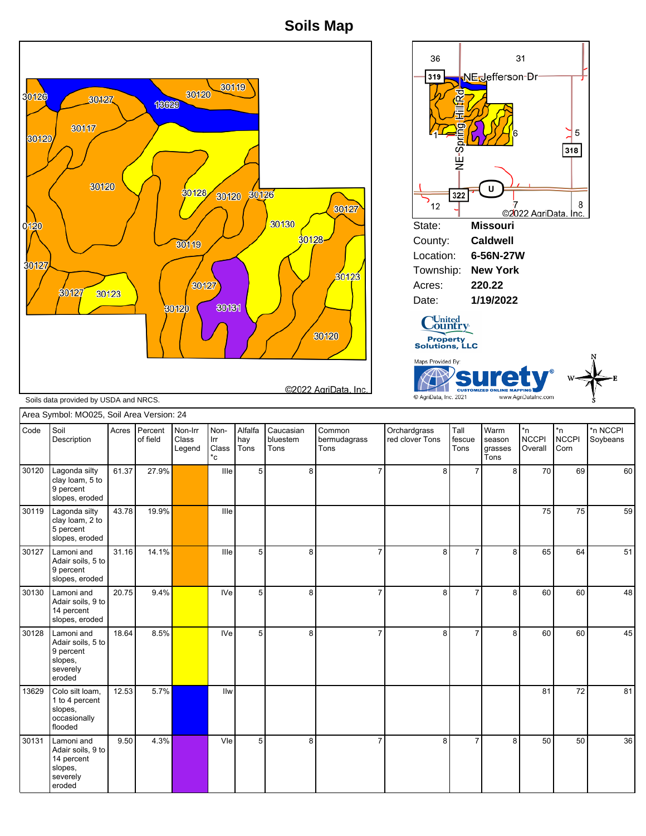**Soils Map**